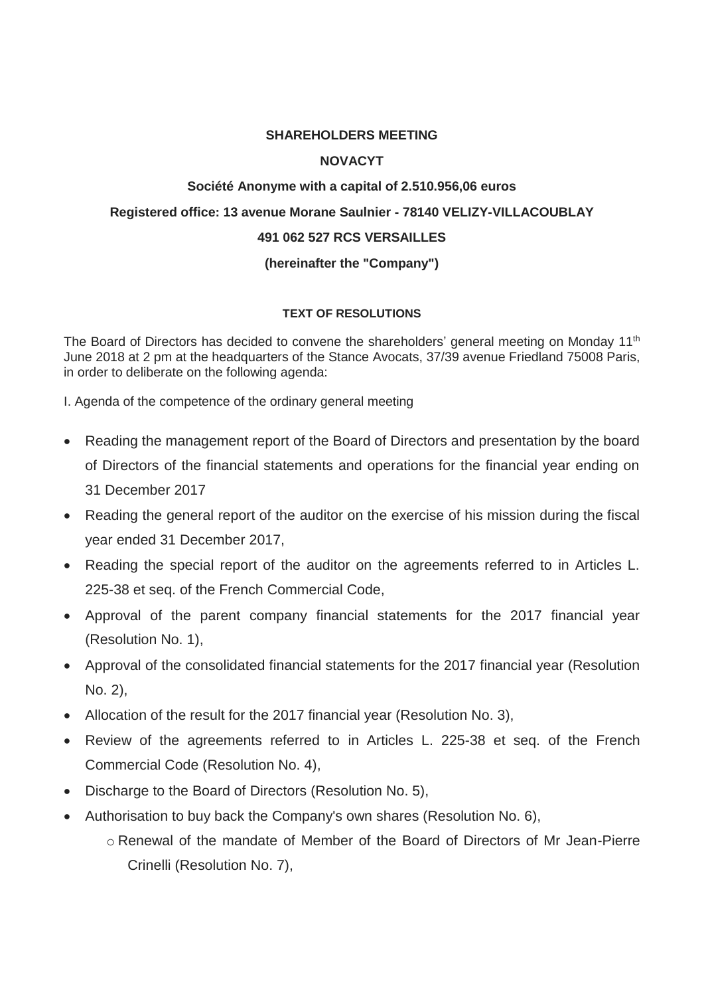# **SHAREHOLDERS MEETING**

# **NOVACYT**

# **Société Anonyme with a capital of 2.510.956,06 euros Registered office: 13 avenue Morane Saulnier - 78140 VELIZY-VILLACOUBLAY 491 062 527 RCS VERSAILLES (hereinafter the "Company")**

# **TEXT OF RESOLUTIONS**

The Board of Directors has decided to convene the shareholders' general meeting on Monday 11<sup>th</sup> June 2018 at 2 pm at the headquarters of the Stance Avocats, 37/39 avenue Friedland 75008 Paris, in order to deliberate on the following agenda:

I. Agenda of the competence of the ordinary general meeting

- Reading the management report of the Board of Directors and presentation by the board of Directors of the financial statements and operations for the financial year ending on 31 December 2017
- Reading the general report of the auditor on the exercise of his mission during the fiscal year ended 31 December 2017,
- Reading the special report of the auditor on the agreements referred to in Articles L. 225-38 et seq. of the French Commercial Code,
- Approval of the parent company financial statements for the 2017 financial year (Resolution No. 1),
- Approval of the consolidated financial statements for the 2017 financial year (Resolution No. 2),
- Allocation of the result for the 2017 financial year (Resolution No. 3),
- Review of the agreements referred to in Articles L. 225-38 et seq. of the French Commercial Code (Resolution No. 4),
- Discharge to the Board of Directors (Resolution No. 5),
- Authorisation to buy back the Company's own shares (Resolution No. 6),
	- o Renewal of the mandate of Member of the Board of Directors of Mr Jean-Pierre Crinelli (Resolution No. 7),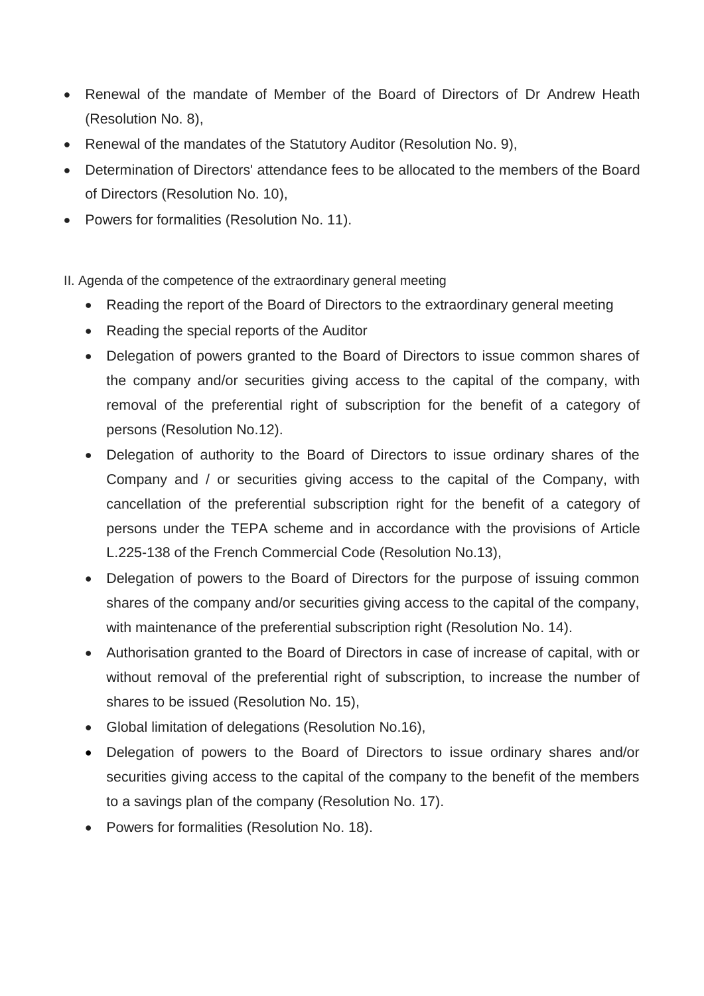- Renewal of the mandate of Member of the Board of Directors of Dr Andrew Heath (Resolution No. 8),
- Renewal of the mandates of the Statutory Auditor (Resolution No. 9),
- Determination of Directors' attendance fees to be allocated to the members of the Board of Directors (Resolution No. 10),
- Powers for formalities (Resolution No. 11).

II. Agenda of the competence of the extraordinary general meeting

- Reading the report of the Board of Directors to the extraordinary general meeting
- Reading the special reports of the Auditor
- Delegation of powers granted to the Board of Directors to issue common shares of the company and/or securities giving access to the capital of the company, with removal of the preferential right of subscription for the benefit of a category of persons (Resolution No.12).
- Delegation of authority to the Board of Directors to issue ordinary shares of the Company and / or securities giving access to the capital of the Company, with cancellation of the preferential subscription right for the benefit of a category of persons under the TEPA scheme and in accordance with the provisions of Article L.225-138 of the French Commercial Code (Resolution No.13),
- Delegation of powers to the Board of Directors for the purpose of issuing common shares of the company and/or securities giving access to the capital of the company, with maintenance of the preferential subscription right (Resolution No. 14).
- Authorisation granted to the Board of Directors in case of increase of capital, with or without removal of the preferential right of subscription, to increase the number of shares to be issued (Resolution No. 15),
- Global limitation of delegations (Resolution No.16),
- Delegation of powers to the Board of Directors to issue ordinary shares and/or securities giving access to the capital of the company to the benefit of the members to a savings plan of the company (Resolution No. 17).
- Powers for formalities (Resolution No. 18).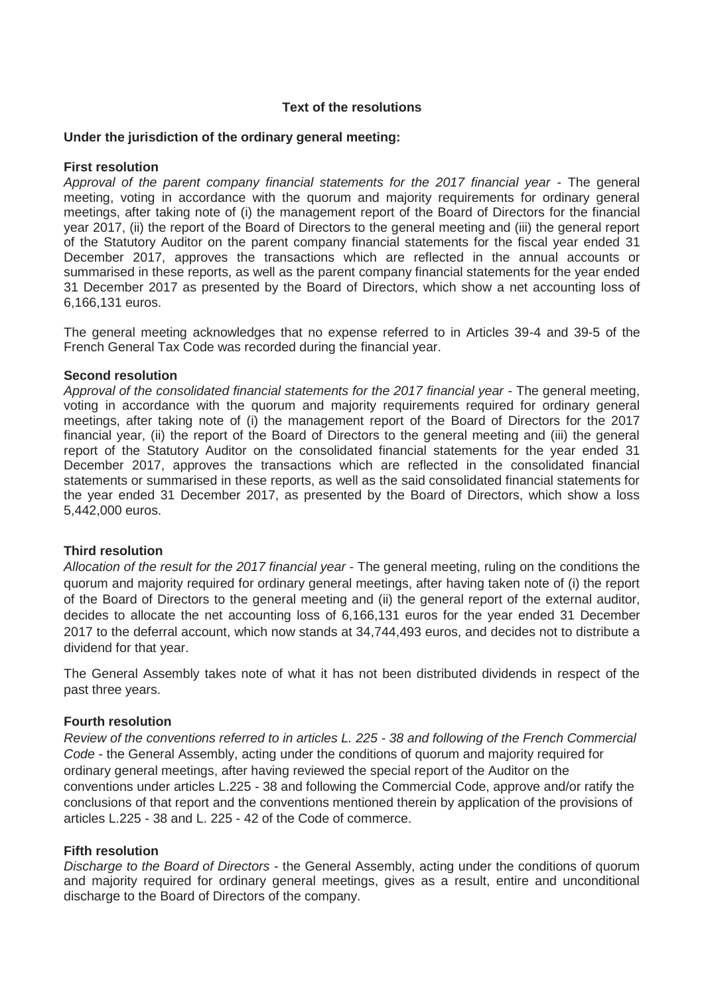## **Text of the resolutions**

## **Under the jurisdiction of the ordinary general meeting:**

## **First resolution**

*Approval of the parent company financial statements for the 2017 financial year* - The general meeting, voting in accordance with the quorum and majority requirements for ordinary general meetings, after taking note of (i) the management report of the Board of Directors for the financial year 2017, (ii) the report of the Board of Directors to the general meeting and (iii) the general report of the Statutory Auditor on the parent company financial statements for the fiscal year ended 31 December 2017, approves the transactions which are reflected in the annual accounts or summarised in these reports, as well as the parent company financial statements for the year ended 31 December 2017 as presented by the Board of Directors, which show a net accounting loss of 6,166,131 euros.

The general meeting acknowledges that no expense referred to in Articles 39-4 and 39-5 of the French General Tax Code was recorded during the financial year.

#### **Second resolution**

*Approval of the consolidated financial statements for the 2017 financial year* - The general meeting, voting in accordance with the quorum and majority requirements required for ordinary general meetings, after taking note of (i) the management report of the Board of Directors for the 2017 financial year, (ii) the report of the Board of Directors to the general meeting and (iii) the general report of the Statutory Auditor on the consolidated financial statements for the year ended 31 December 2017, approves the transactions which are reflected in the consolidated financial statements or summarised in these reports, as well as the said consolidated financial statements for the year ended 31 December 2017, as presented by the Board of Directors, which show a loss 5,442,000 euros.

#### **Third resolution**

*Allocation of the result for the 2017 financial year* - The general meeting, ruling on the conditions the quorum and majority required for ordinary general meetings, after having taken note of (i) the report of the Board of Directors to the general meeting and (ii) the general report of the external auditor, decides to allocate the net accounting loss of 6,166,131 euros for the year ended 31 December 2017 to the deferral account, which now stands at 34,744,493 euros, and decides not to distribute a dividend for that year.

The General Assembly takes note of what it has not been distributed dividends in respect of the past three years.

#### **Fourth resolution**

*Review of the conventions referred to in articles L. 225 - 38 and following of the French Commercial Code* - the General Assembly, acting under the conditions of quorum and majority required for ordinary general meetings, after having reviewed the special report of the Auditor on the conventions under articles L.225 - 38 and following the Commercial Code, approve and/or ratify the conclusions of that report and the conventions mentioned therein by application of the provisions of articles L.225 - 38 and L. 225 - 42 of the Code of commerce.

#### **Fifth resolution**

*Discharge to the Board of Directors* - the General Assembly, acting under the conditions of quorum and majority required for ordinary general meetings, gives as a result, entire and unconditional discharge to the Board of Directors of the company.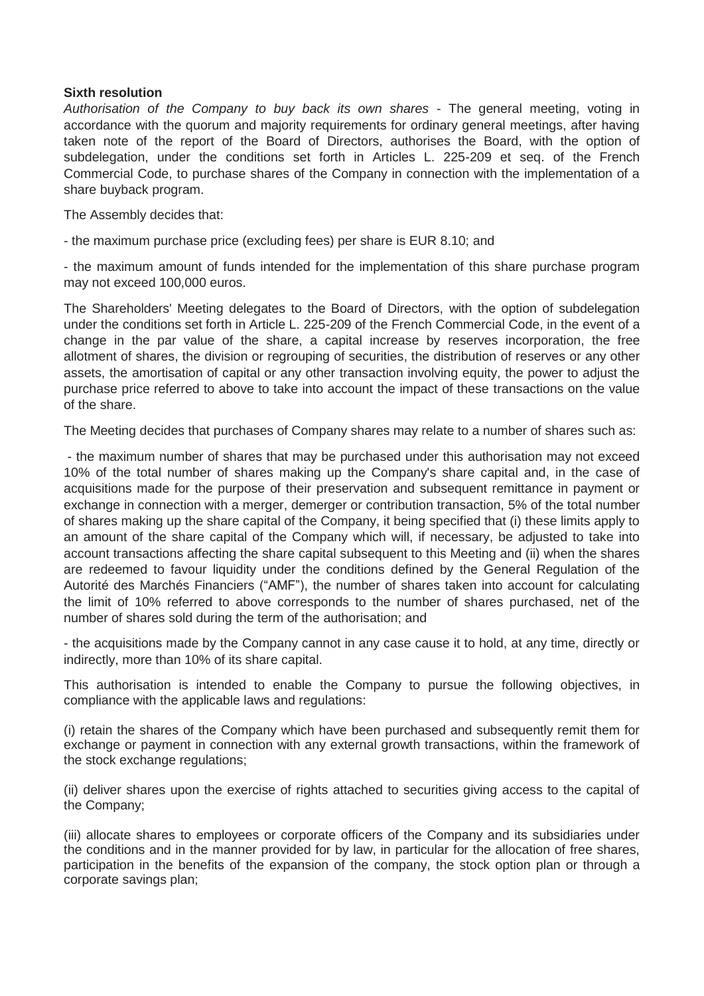# **Sixth resolution**

*Authorisation of the Company to buy back its own shares* - The general meeting, voting in accordance with the quorum and majority requirements for ordinary general meetings, after having taken note of the report of the Board of Directors, authorises the Board, with the option of subdelegation, under the conditions set forth in Articles L. 225-209 et seq. of the French Commercial Code, to purchase shares of the Company in connection with the implementation of a share buyback program.

The Assembly decides that:

- the maximum purchase price (excluding fees) per share is EUR 8.10; and

- the maximum amount of funds intended for the implementation of this share purchase program may not exceed 100,000 euros.

The Shareholders' Meeting delegates to the Board of Directors, with the option of subdelegation under the conditions set forth in Article L. 225-209 of the French Commercial Code, in the event of a change in the par value of the share, a capital increase by reserves incorporation, the free allotment of shares, the division or regrouping of securities, the distribution of reserves or any other assets, the amortisation of capital or any other transaction involving equity, the power to adjust the purchase price referred to above to take into account the impact of these transactions on the value of the share.

The Meeting decides that purchases of Company shares may relate to a number of shares such as:

- the maximum number of shares that may be purchased under this authorisation may not exceed 10% of the total number of shares making up the Company's share capital and, in the case of acquisitions made for the purpose of their preservation and subsequent remittance in payment or exchange in connection with a merger, demerger or contribution transaction, 5% of the total number of shares making up the share capital of the Company, it being specified that (i) these limits apply to an amount of the share capital of the Company which will, if necessary, be adjusted to take into account transactions affecting the share capital subsequent to this Meeting and (ii) when the shares are redeemed to favour liquidity under the conditions defined by the General Regulation of the Autorité des Marchés Financiers ("AMF"), the number of shares taken into account for calculating the limit of 10% referred to above corresponds to the number of shares purchased, net of the number of shares sold during the term of the authorisation; and

- the acquisitions made by the Company cannot in any case cause it to hold, at any time, directly or indirectly, more than 10% of its share capital.

This authorisation is intended to enable the Company to pursue the following objectives, in compliance with the applicable laws and regulations:

(i) retain the shares of the Company which have been purchased and subsequently remit them for exchange or payment in connection with any external growth transactions, within the framework of the stock exchange regulations;

(ii) deliver shares upon the exercise of rights attached to securities giving access to the capital of the Company;

(iii) allocate shares to employees or corporate officers of the Company and its subsidiaries under the conditions and in the manner provided for by law, in particular for the allocation of free shares, participation in the benefits of the expansion of the company, the stock option plan or through a corporate savings plan;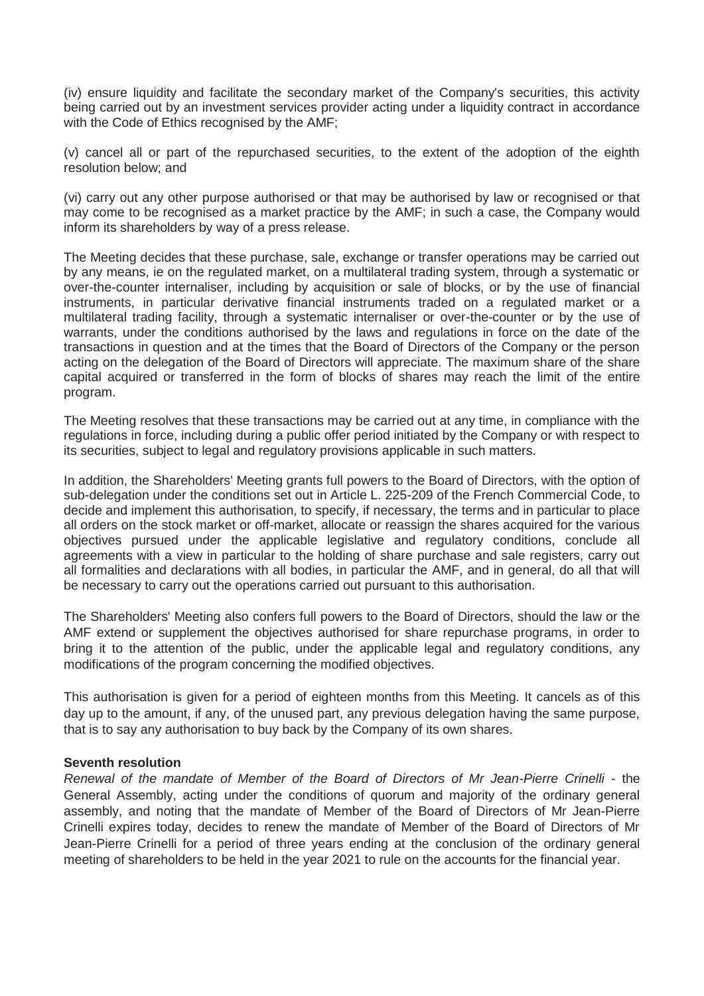(iv) ensure liquidity and facilitate the secondary market of the Company's securities, this activity being carried out by an investment services provider acting under a liquidity contract in accordance with the Code of Ethics recognised by the AMF;

(v) cancel all or part of the repurchased securities, to the extent of the adoption of the eighth resolution below; and

(vi) carry out any other purpose authorised or that may be authorised by law or recognised or that may come to be recognised as a market practice by the AMF; in such a case, the Company would inform its shareholders by way of a press release.

The Meeting decides that these purchase, sale, exchange or transfer operations may be carried out by any means, ie on the regulated market, on a multilateral trading system, through a systematic or over-the-counter internaliser, including by acquisition or sale of blocks, or by the use of financial instruments, in particular derivative financial instruments traded on a regulated market or a multilateral trading facility, through a systematic internaliser or over-the-counter or by the use of warrants, under the conditions authorised by the laws and regulations in force on the date of the transactions in question and at the times that the Board of Directors of the Company or the person acting on the delegation of the Board of Directors will appreciate. The maximum share of the share capital acquired or transferred in the form of blocks of shares may reach the limit of the entire program.

The Meeting resolves that these transactions may be carried out at any time, in compliance with the regulations in force, including during a public offer period initiated by the Company or with respect to its securities, subject to legal and regulatory provisions applicable in such matters.

In addition, the Shareholders' Meeting grants full powers to the Board of Directors, with the option of sub-delegation under the conditions set out in Article L. 225-209 of the French Commercial Code, to decide and implement this authorisation, to specify, if necessary, the terms and in particular to place all orders on the stock market or off-market, allocate or reassign the shares acquired for the various objectives pursued under the applicable legislative and regulatory conditions, conclude all agreements with a view in particular to the holding of share purchase and sale registers, carry out all formalities and declarations with all bodies, in particular the AMF, and in general, do all that will be necessary to carry out the operations carried out pursuant to this authorisation.

The Shareholders' Meeting also confers full powers to the Board of Directors, should the law or the AMF extend or supplement the objectives authorised for share repurchase programs, in order to bring it to the attention of the public, under the applicable legal and regulatory conditions, any modifications of the program concerning the modified objectives.

This authorisation is given for a period of eighteen months from this Meeting. It cancels as of this day up to the amount, if any, of the unused part, any previous delegation having the same purpose, that is to say any authorisation to buy back by the Company of its own shares.

#### **Seventh resolution**

*Renewal of the mandate of Member of the Board of Directors of Mr Jean-Pierre Crinelli* - the General Assembly, acting under the conditions of quorum and majority of the ordinary general assembly, and noting that the mandate of Member of the Board of Directors of Mr Jean-Pierre Crinelli expires today, decides to renew the mandate of Member of the Board of Directors of Mr Jean-Pierre Crinelli for a period of three years ending at the conclusion of the ordinary general meeting of shareholders to be held in the year 2021 to rule on the accounts for the financial year.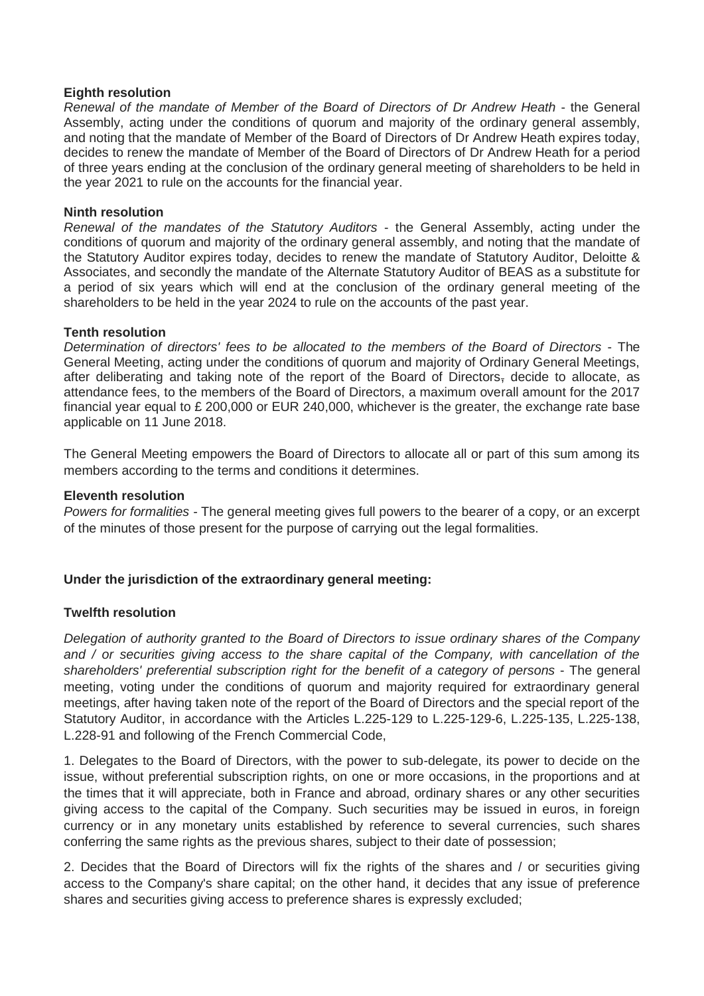## **Eighth resolution**

*Renewal of the mandate of Member of the Board of Directors of Dr Andrew Heath* - the General Assembly, acting under the conditions of quorum and majority of the ordinary general assembly, and noting that the mandate of Member of the Board of Directors of Dr Andrew Heath expires today, decides to renew the mandate of Member of the Board of Directors of Dr Andrew Heath for a period of three years ending at the conclusion of the ordinary general meeting of shareholders to be held in the year 2021 to rule on the accounts for the financial year.

## **Ninth resolution**

*Renewal of the mandates of the Statutory Auditors* - the General Assembly, acting under the conditions of quorum and majority of the ordinary general assembly, and noting that the mandate of the Statutory Auditor expires today, decides to renew the mandate of Statutory Auditor, Deloitte & Associates, and secondly the mandate of the Alternate Statutory Auditor of BEAS as a substitute for a period of six years which will end at the conclusion of the ordinary general meeting of the shareholders to be held in the year 2024 to rule on the accounts of the past year.

## **Tenth resolution**

*Determination of directors' fees to be allocated to the members of the Board of Directors* - The General Meeting, acting under the conditions of quorum and majority of Ordinary General Meetings, after deliberating and taking note of the report of the Board of Directors, decide to allocate, as attendance fees, to the members of the Board of Directors, a maximum overall amount for the 2017 financial year equal to £ 200,000 or EUR 240,000, whichever is the greater, the exchange rate base applicable on 11 June 2018.

The General Meeting empowers the Board of Directors to allocate all or part of this sum among its members according to the terms and conditions it determines.

## **Eleventh resolution**

*Powers for formalities -* The general meeting gives full powers to the bearer of a copy, or an excerpt of the minutes of those present for the purpose of carrying out the legal formalities.

# **Under the jurisdiction of the extraordinary general meeting:**

# **Twelfth resolution**

*Delegation of authority granted to the Board of Directors to issue ordinary shares of the Company and / or securities giving access to the share capital of the Company, with cancellation of the shareholders' preferential subscription right for the benefit of a category of persons* - The general meeting, voting under the conditions of quorum and majority required for extraordinary general meetings, after having taken note of the report of the Board of Directors and the special report of the Statutory Auditor, in accordance with the Articles L.225-129 to L.225-129-6, L.225-135, L.225-138, L.228-91 and following of the French Commercial Code,

1. Delegates to the Board of Directors, with the power to sub-delegate, its power to decide on the issue, without preferential subscription rights, on one or more occasions, in the proportions and at the times that it will appreciate, both in France and abroad, ordinary shares or any other securities giving access to the capital of the Company. Such securities may be issued in euros, in foreign currency or in any monetary units established by reference to several currencies, such shares conferring the same rights as the previous shares, subject to their date of possession;

2. Decides that the Board of Directors will fix the rights of the shares and / or securities giving access to the Company's share capital; on the other hand, it decides that any issue of preference shares and securities giving access to preference shares is expressly excluded;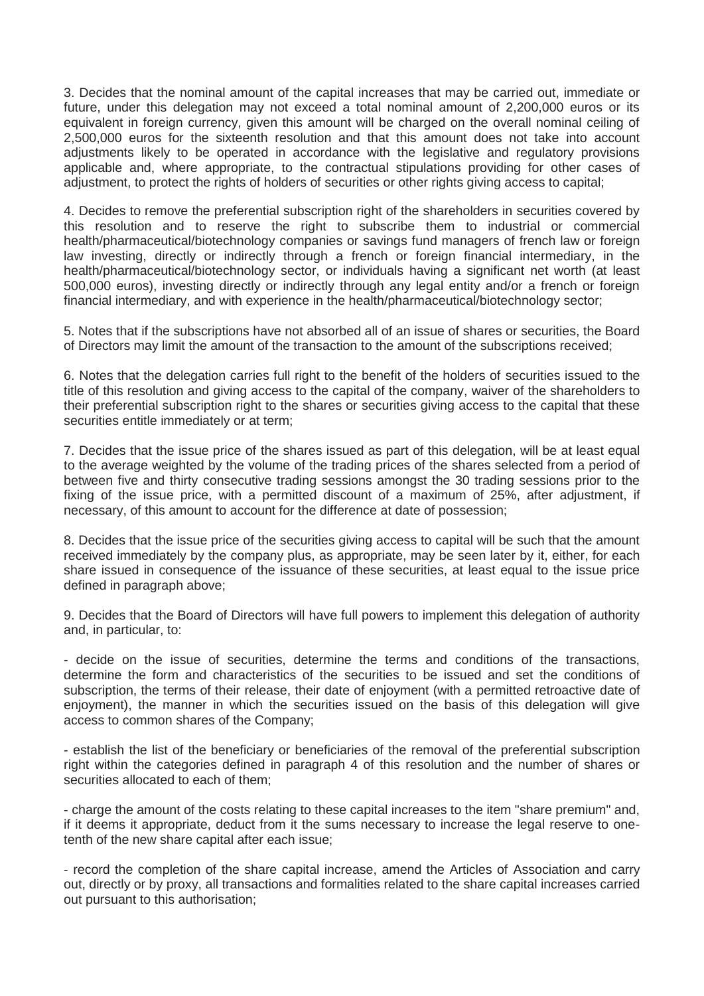3. Decides that the nominal amount of the capital increases that may be carried out, immediate or future, under this delegation may not exceed a total nominal amount of 2,200,000 euros or its equivalent in foreign currency, given this amount will be charged on the overall nominal ceiling of 2,500,000 euros for the sixteenth resolution and that this amount does not take into account adjustments likely to be operated in accordance with the legislative and regulatory provisions applicable and, where appropriate, to the contractual stipulations providing for other cases of adjustment, to protect the rights of holders of securities or other rights giving access to capital;

4. Decides to remove the preferential subscription right of the shareholders in securities covered by this resolution and to reserve the right to subscribe them to industrial or commercial health/pharmaceutical/biotechnology companies or savings fund managers of french law or foreign law investing, directly or indirectly through a french or foreign financial intermediary, in the health/pharmaceutical/biotechnology sector, or individuals having a significant net worth (at least 500,000 euros), investing directly or indirectly through any legal entity and/or a french or foreign financial intermediary, and with experience in the health/pharmaceutical/biotechnology sector;

5. Notes that if the subscriptions have not absorbed all of an issue of shares or securities, the Board of Directors may limit the amount of the transaction to the amount of the subscriptions received;

6. Notes that the delegation carries full right to the benefit of the holders of securities issued to the title of this resolution and giving access to the capital of the company, waiver of the shareholders to their preferential subscription right to the shares or securities giving access to the capital that these securities entitle immediately or at term;

7. Decides that the issue price of the shares issued as part of this delegation, will be at least equal to the average weighted by the volume of the trading prices of the shares selected from a period of between five and thirty consecutive trading sessions amongst the 30 trading sessions prior to the fixing of the issue price, with a permitted discount of a maximum of 25%, after adjustment, if necessary, of this amount to account for the difference at date of possession;

8. Decides that the issue price of the securities giving access to capital will be such that the amount received immediately by the company plus, as appropriate, may be seen later by it, either, for each share issued in consequence of the issuance of these securities, at least equal to the issue price defined in paragraph above;

9. Decides that the Board of Directors will have full powers to implement this delegation of authority and, in particular, to:

- decide on the issue of securities, determine the terms and conditions of the transactions, determine the form and characteristics of the securities to be issued and set the conditions of subscription, the terms of their release, their date of enjoyment (with a permitted retroactive date of enjoyment), the manner in which the securities issued on the basis of this delegation will give access to common shares of the Company;

- establish the list of the beneficiary or beneficiaries of the removal of the preferential subscription right within the categories defined in paragraph 4 of this resolution and the number of shares or securities allocated to each of them;

- charge the amount of the costs relating to these capital increases to the item "share premium" and, if it deems it appropriate, deduct from it the sums necessary to increase the legal reserve to onetenth of the new share capital after each issue;

- record the completion of the share capital increase, amend the Articles of Association and carry out, directly or by proxy, all transactions and formalities related to the share capital increases carried out pursuant to this authorisation;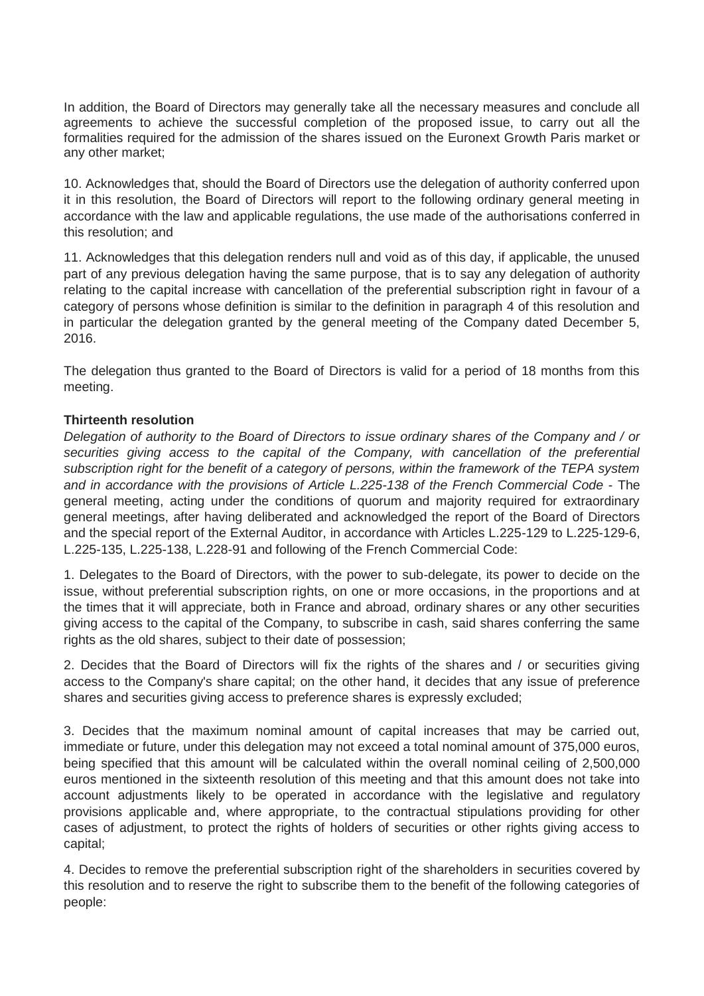In addition, the Board of Directors may generally take all the necessary measures and conclude all agreements to achieve the successful completion of the proposed issue, to carry out all the formalities required for the admission of the shares issued on the Euronext Growth Paris market or any other market;

10. Acknowledges that, should the Board of Directors use the delegation of authority conferred upon it in this resolution, the Board of Directors will report to the following ordinary general meeting in accordance with the law and applicable regulations, the use made of the authorisations conferred in this resolution; and

11. Acknowledges that this delegation renders null and void as of this day, if applicable, the unused part of any previous delegation having the same purpose, that is to say any delegation of authority relating to the capital increase with cancellation of the preferential subscription right in favour of a category of persons whose definition is similar to the definition in paragraph 4 of this resolution and in particular the delegation granted by the general meeting of the Company dated December 5, 2016.

The delegation thus granted to the Board of Directors is valid for a period of 18 months from this meeting.

# **Thirteenth resolution**

*Delegation of authority to the Board of Directors to issue ordinary shares of the Company and / or securities giving access to the capital of the Company, with cancellation of the preferential subscription right for the benefit of a category of persons, within the framework of the TEPA system and in accordance with the provisions of Article L.225-138 of the French Commercial Code* - The general meeting, acting under the conditions of quorum and majority required for extraordinary general meetings, after having deliberated and acknowledged the report of the Board of Directors and the special report of the External Auditor, in accordance with Articles L.225-129 to L.225-129-6, L.225-135, L.225-138, L.228-91 and following of the French Commercial Code:

1. Delegates to the Board of Directors, with the power to sub-delegate, its power to decide on the issue, without preferential subscription rights, on one or more occasions, in the proportions and at the times that it will appreciate, both in France and abroad, ordinary shares or any other securities giving access to the capital of the Company, to subscribe in cash, said shares conferring the same rights as the old shares, subject to their date of possession;

2. Decides that the Board of Directors will fix the rights of the shares and / or securities giving access to the Company's share capital; on the other hand, it decides that any issue of preference shares and securities giving access to preference shares is expressly excluded;

3. Decides that the maximum nominal amount of capital increases that may be carried out, immediate or future, under this delegation may not exceed a total nominal amount of 375,000 euros, being specified that this amount will be calculated within the overall nominal ceiling of 2,500,000 euros mentioned in the sixteenth resolution of this meeting and that this amount does not take into account adjustments likely to be operated in accordance with the legislative and regulatory provisions applicable and, where appropriate, to the contractual stipulations providing for other cases of adjustment, to protect the rights of holders of securities or other rights giving access to capital;

4. Decides to remove the preferential subscription right of the shareholders in securities covered by this resolution and to reserve the right to subscribe them to the benefit of the following categories of people: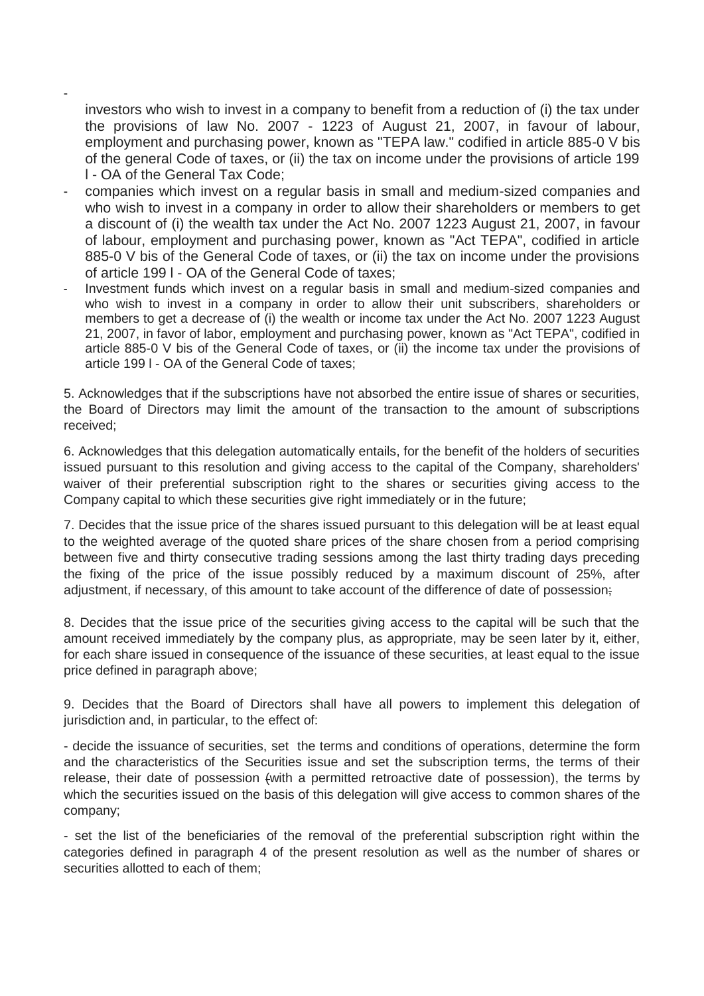investors who wish to invest in a company to benefit from a reduction of (i) the tax under the provisions of law No. 2007 - 1223 of August 21, 2007, in favour of labour, employment and purchasing power, known as "TEPA law." codified in article 885-0 V bis of the general Code of taxes, or (ii) the tax on income under the provisions of article 199 l - OA of the General Tax Code;

-

- companies which invest on a regular basis in small and medium-sized companies and who wish to invest in a company in order to allow their shareholders or members to get a discount of (i) the wealth tax under the Act No. 2007 1223 August 21, 2007, in favour of labour, employment and purchasing power, known as "Act TEPA", codified in article 885-0 V bis of the General Code of taxes, or (ii) the tax on income under the provisions of article 199 l - OA of the General Code of taxes;
- Investment funds which invest on a regular basis in small and medium-sized companies and who wish to invest in a company in order to allow their unit subscribers, shareholders or members to get a decrease of (i) the wealth or income tax under the Act No. 2007 1223 August 21, 2007, in favor of labor, employment and purchasing power, known as "Act TEPA", codified in article 885-0 V bis of the General Code of taxes, or (ii) the income tax under the provisions of article 199 l - OA of the General Code of taxes;

5. Acknowledges that if the subscriptions have not absorbed the entire issue of shares or securities, the Board of Directors may limit the amount of the transaction to the amount of subscriptions received;

6. Acknowledges that this delegation automatically entails, for the benefit of the holders of securities issued pursuant to this resolution and giving access to the capital of the Company, shareholders' waiver of their preferential subscription right to the shares or securities giving access to the Company capital to which these securities give right immediately or in the future;

7. Decides that the issue price of the shares issued pursuant to this delegation will be at least equal to the weighted average of the quoted share prices of the share chosen from a period comprising between five and thirty consecutive trading sessions among the last thirty trading days preceding the fixing of the price of the issue possibly reduced by a maximum discount of 25%, after adjustment, if necessary, of this amount to take account of the difference of date of possession.

8. Decides that the issue price of the securities giving access to the capital will be such that the amount received immediately by the company plus, as appropriate, may be seen later by it, either, for each share issued in consequence of the issuance of these securities, at least equal to the issue price defined in paragraph above;

9. Decides that the Board of Directors shall have all powers to implement this delegation of jurisdiction and, in particular, to the effect of:

- decide the issuance of securities, set the terms and conditions of operations, determine the form and the characteristics of the Securities issue and set the subscription terms, the terms of their release, their date of possession (with a permitted retroactive date of possession), the terms by which the securities issued on the basis of this delegation will give access to common shares of the company;

- set the list of the beneficiaries of the removal of the preferential subscription right within the categories defined in paragraph 4 of the present resolution as well as the number of shares or securities allotted to each of them;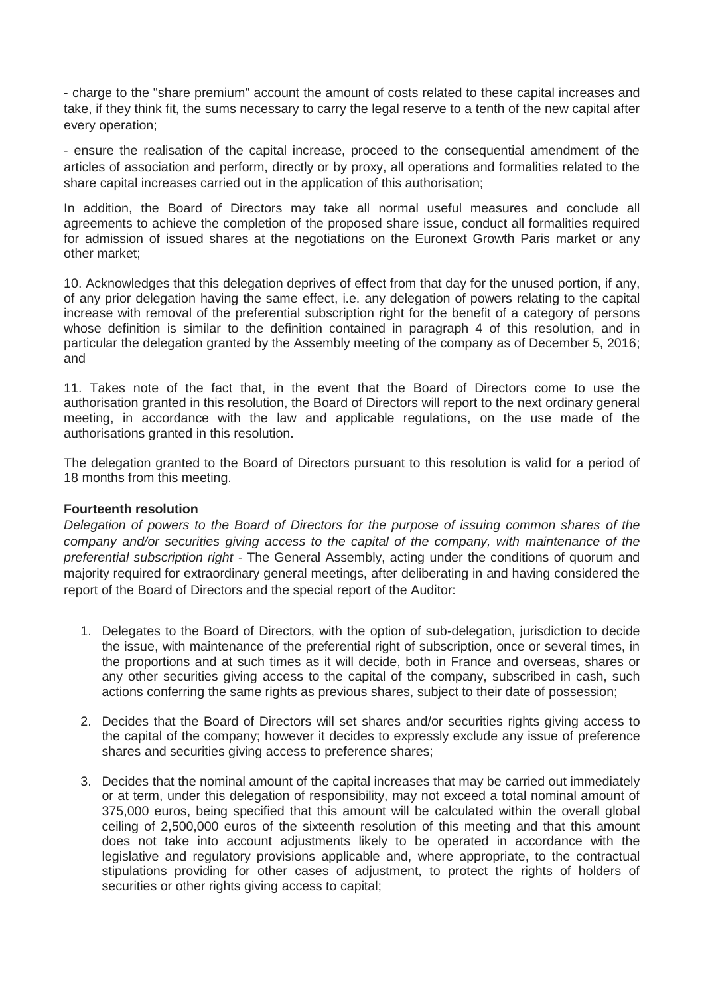- charge to the "share premium" account the amount of costs related to these capital increases and take, if they think fit, the sums necessary to carry the legal reserve to a tenth of the new capital after every operation;

- ensure the realisation of the capital increase, proceed to the consequential amendment of the articles of association and perform, directly or by proxy, all operations and formalities related to the share capital increases carried out in the application of this authorisation;

In addition, the Board of Directors may take all normal useful measures and conclude all agreements to achieve the completion of the proposed share issue, conduct all formalities required for admission of issued shares at the negotiations on the Euronext Growth Paris market or any other market;

10. Acknowledges that this delegation deprives of effect from that day for the unused portion, if any, of any prior delegation having the same effect, i.e. any delegation of powers relating to the capital increase with removal of the preferential subscription right for the benefit of a category of persons whose definition is similar to the definition contained in paragraph 4 of this resolution, and in particular the delegation granted by the Assembly meeting of the company as of December 5, 2016; and

11. Takes note of the fact that, in the event that the Board of Directors come to use the authorisation granted in this resolution, the Board of Directors will report to the next ordinary general meeting, in accordance with the law and applicable regulations, on the use made of the authorisations granted in this resolution.

The delegation granted to the Board of Directors pursuant to this resolution is valid for a period of 18 months from this meeting.

# **Fourteenth resolution**

*Delegation of powers to the Board of Directors for the purpose of issuing common shares of the company and/or securities giving access to the capital of the company, with maintenance of the preferential subscription right -* The General Assembly, acting under the conditions of quorum and majority required for extraordinary general meetings, after deliberating in and having considered the report of the Board of Directors and the special report of the Auditor:

- 1. Delegates to the Board of Directors, with the option of sub-delegation, jurisdiction to decide the issue, with maintenance of the preferential right of subscription, once or several times, in the proportions and at such times as it will decide, both in France and overseas, shares or any other securities giving access to the capital of the company, subscribed in cash, such actions conferring the same rights as previous shares, subject to their date of possession;
- 2. Decides that the Board of Directors will set shares and/or securities rights giving access to the capital of the company; however it decides to expressly exclude any issue of preference shares and securities giving access to preference shares;
- 3. Decides that the nominal amount of the capital increases that may be carried out immediately or at term, under this delegation of responsibility, may not exceed a total nominal amount of 375,000 euros, being specified that this amount will be calculated within the overall global ceiling of 2,500,000 euros of the sixteenth resolution of this meeting and that this amount does not take into account adjustments likely to be operated in accordance with the legislative and regulatory provisions applicable and, where appropriate, to the contractual stipulations providing for other cases of adjustment, to protect the rights of holders of securities or other rights giving access to capital;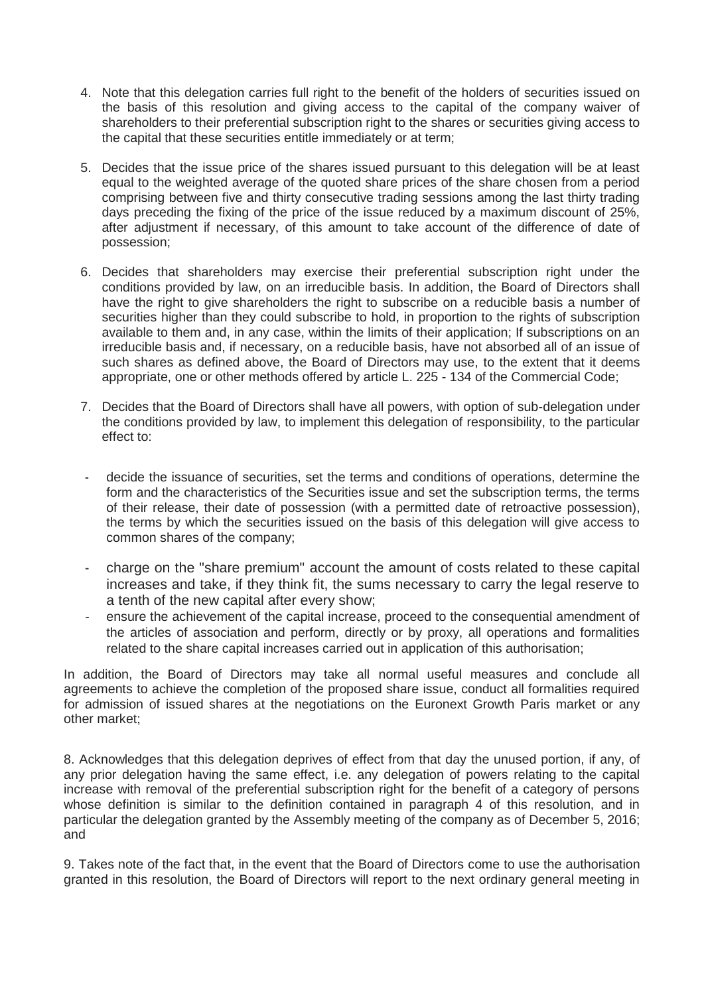- 4. Note that this delegation carries full right to the benefit of the holders of securities issued on the basis of this resolution and giving access to the capital of the company waiver of shareholders to their preferential subscription right to the shares or securities giving access to the capital that these securities entitle immediately or at term;
- 5. Decides that the issue price of the shares issued pursuant to this delegation will be at least equal to the weighted average of the quoted share prices of the share chosen from a period comprising between five and thirty consecutive trading sessions among the last thirty trading days preceding the fixing of the price of the issue reduced by a maximum discount of 25%, after adjustment if necessary, of this amount to take account of the difference of date of possession;
- 6. Decides that shareholders may exercise their preferential subscription right under the conditions provided by law, on an irreducible basis. In addition, the Board of Directors shall have the right to give shareholders the right to subscribe on a reducible basis a number of securities higher than they could subscribe to hold, in proportion to the rights of subscription available to them and, in any case, within the limits of their application; If subscriptions on an irreducible basis and, if necessary, on a reducible basis, have not absorbed all of an issue of such shares as defined above, the Board of Directors may use, to the extent that it deems appropriate, one or other methods offered by article L. 225 - 134 of the Commercial Code;
- 7. Decides that the Board of Directors shall have all powers, with option of sub-delegation under the conditions provided by law, to implement this delegation of responsibility, to the particular effect to:
- decide the issuance of securities, set the terms and conditions of operations, determine the form and the characteristics of the Securities issue and set the subscription terms, the terms of their release, their date of possession (with a permitted date of retroactive possession), the terms by which the securities issued on the basis of this delegation will give access to common shares of the company;
- charge on the "share premium" account the amount of costs related to these capital increases and take, if they think fit, the sums necessary to carry the legal reserve to a tenth of the new capital after every show;
- ensure the achievement of the capital increase, proceed to the consequential amendment of the articles of association and perform, directly or by proxy, all operations and formalities related to the share capital increases carried out in application of this authorisation;

In addition, the Board of Directors may take all normal useful measures and conclude all agreements to achieve the completion of the proposed share issue, conduct all formalities required for admission of issued shares at the negotiations on the Euronext Growth Paris market or any other market;

8. Acknowledges that this delegation deprives of effect from that day the unused portion, if any, of any prior delegation having the same effect, i.e. any delegation of powers relating to the capital increase with removal of the preferential subscription right for the benefit of a category of persons whose definition is similar to the definition contained in paragraph 4 of this resolution, and in particular the delegation granted by the Assembly meeting of the company as of December 5, 2016; and

9. Takes note of the fact that, in the event that the Board of Directors come to use the authorisation granted in this resolution, the Board of Directors will report to the next ordinary general meeting in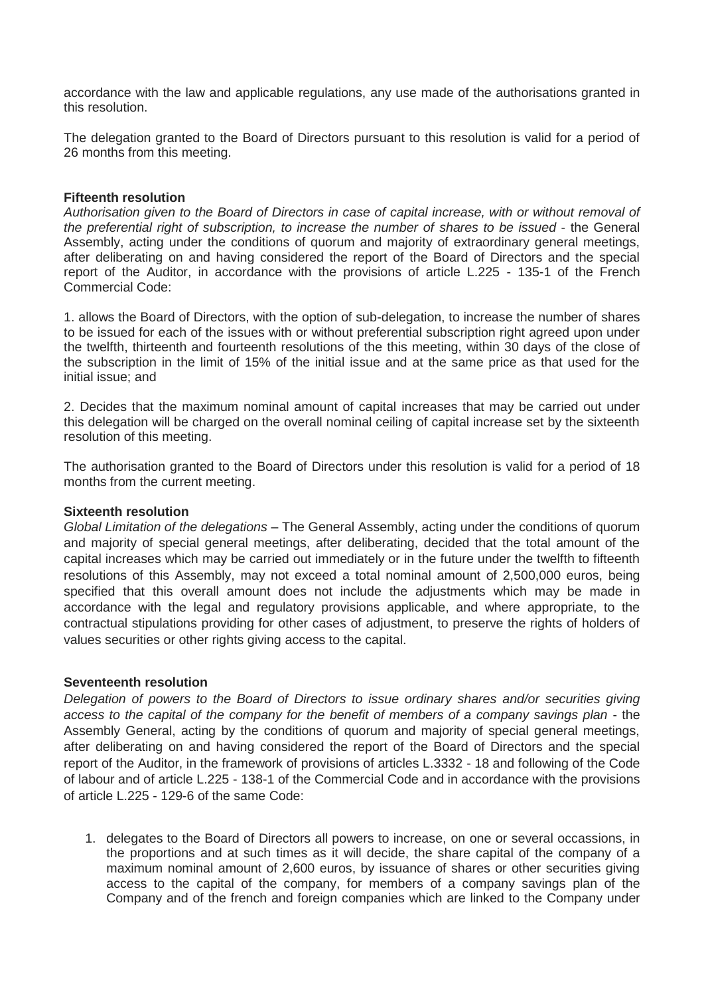accordance with the law and applicable regulations, any use made of the authorisations granted in this resolution.

The delegation granted to the Board of Directors pursuant to this resolution is valid for a period of 26 months from this meeting.

#### **Fifteenth resolution**

*Authorisation given to the Board of Directors in case of capital increase, with or without removal of the preferential right of subscription, to increase the number of shares to be issued* - the General Assembly, acting under the conditions of quorum and majority of extraordinary general meetings, after deliberating on and having considered the report of the Board of Directors and the special report of the Auditor, in accordance with the provisions of article L.225 - 135-1 of the French Commercial Code:

1. allows the Board of Directors, with the option of sub-delegation, to increase the number of shares to be issued for each of the issues with or without preferential subscription right agreed upon under the twelfth, thirteenth and fourteenth resolutions of the this meeting, within 30 days of the close of the subscription in the limit of 15% of the initial issue and at the same price as that used for the initial issue; and

2. Decides that the maximum nominal amount of capital increases that may be carried out under this delegation will be charged on the overall nominal ceiling of capital increase set by the sixteenth resolution of this meeting.

The authorisation granted to the Board of Directors under this resolution is valid for a period of 18 months from the current meeting.

#### **Sixteenth resolution**

*Global Limitation of the delegations* – The General Assembly, acting under the conditions of quorum and majority of special general meetings, after deliberating, decided that the total amount of the capital increases which may be carried out immediately or in the future under the twelfth to fifteenth resolutions of this Assembly, may not exceed a total nominal amount of 2,500,000 euros, being specified that this overall amount does not include the adjustments which may be made in accordance with the legal and regulatory provisions applicable, and where appropriate, to the contractual stipulations providing for other cases of adjustment, to preserve the rights of holders of values securities or other rights giving access to the capital.

#### **Seventeenth resolution**

*Delegation of powers to the Board of Directors to issue ordinary shares and/or securities giving access to the capital of the company for the benefit of members of a company savings plan* - the Assembly General, acting by the conditions of quorum and majority of special general meetings, after deliberating on and having considered the report of the Board of Directors and the special report of the Auditor, in the framework of provisions of articles L.3332 - 18 and following of the Code of labour and of article L.225 - 138-1 of the Commercial Code and in accordance with the provisions of article L.225 - 129-6 of the same Code:

1. delegates to the Board of Directors all powers to increase, on one or several occassions, in the proportions and at such times as it will decide, the share capital of the company of a maximum nominal amount of 2,600 euros, by issuance of shares or other securities giving access to the capital of the company, for members of a company savings plan of the Company and of the french and foreign companies which are linked to the Company under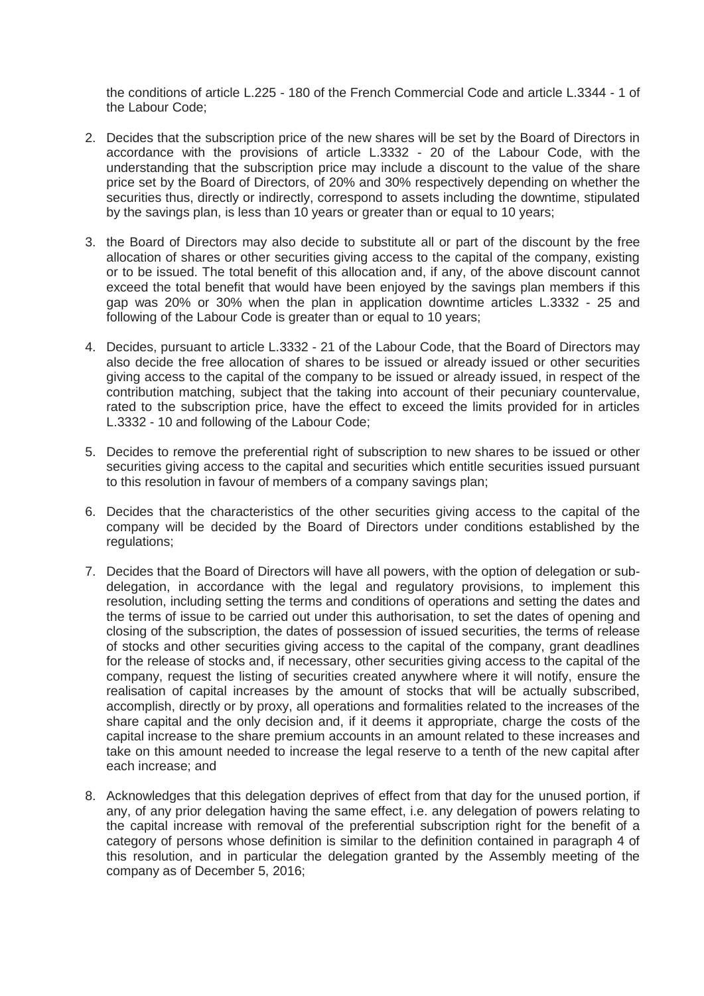the conditions of article L.225 - 180 of the French Commercial Code and article L.3344 - 1 of the Labour Code;

- 2. Decides that the subscription price of the new shares will be set by the Board of Directors in accordance with the provisions of article L.3332 - 20 of the Labour Code, with the understanding that the subscription price may include a discount to the value of the share price set by the Board of Directors, of 20% and 30% respectively depending on whether the securities thus, directly or indirectly, correspond to assets including the downtime, stipulated by the savings plan, is less than 10 years or greater than or equal to 10 years;
- 3. the Board of Directors may also decide to substitute all or part of the discount by the free allocation of shares or other securities giving access to the capital of the company, existing or to be issued. The total benefit of this allocation and, if any, of the above discount cannot exceed the total benefit that would have been enjoyed by the savings plan members if this gap was 20% or 30% when the plan in application downtime articles L.3332 - 25 and following of the Labour Code is greater than or equal to 10 years;
- 4. Decides, pursuant to article L.3332 21 of the Labour Code, that the Board of Directors may also decide the free allocation of shares to be issued or already issued or other securities giving access to the capital of the company to be issued or already issued, in respect of the contribution matching, subject that the taking into account of their pecuniary countervalue, rated to the subscription price, have the effect to exceed the limits provided for in articles L.3332 - 10 and following of the Labour Code;
- 5. Decides to remove the preferential right of subscription to new shares to be issued or other securities giving access to the capital and securities which entitle securities issued pursuant to this resolution in favour of members of a company savings plan;
- 6. Decides that the characteristics of the other securities giving access to the capital of the company will be decided by the Board of Directors under conditions established by the regulations;
- 7. Decides that the Board of Directors will have all powers, with the option of delegation or subdelegation, in accordance with the legal and regulatory provisions, to implement this resolution, including setting the terms and conditions of operations and setting the dates and the terms of issue to be carried out under this authorisation, to set the dates of opening and closing of the subscription, the dates of possession of issued securities, the terms of release of stocks and other securities giving access to the capital of the company, grant deadlines for the release of stocks and, if necessary, other securities giving access to the capital of the company, request the listing of securities created anywhere where it will notify, ensure the realisation of capital increases by the amount of stocks that will be actually subscribed, accomplish, directly or by proxy, all operations and formalities related to the increases of the share capital and the only decision and, if it deems it appropriate, charge the costs of the capital increase to the share premium accounts in an amount related to these increases and take on this amount needed to increase the legal reserve to a tenth of the new capital after each increase; and
- 8. Acknowledges that this delegation deprives of effect from that day for the unused portion, if any, of any prior delegation having the same effect, i.e. any delegation of powers relating to the capital increase with removal of the preferential subscription right for the benefit of a category of persons whose definition is similar to the definition contained in paragraph 4 of this resolution, and in particular the delegation granted by the Assembly meeting of the company as of December 5, 2016;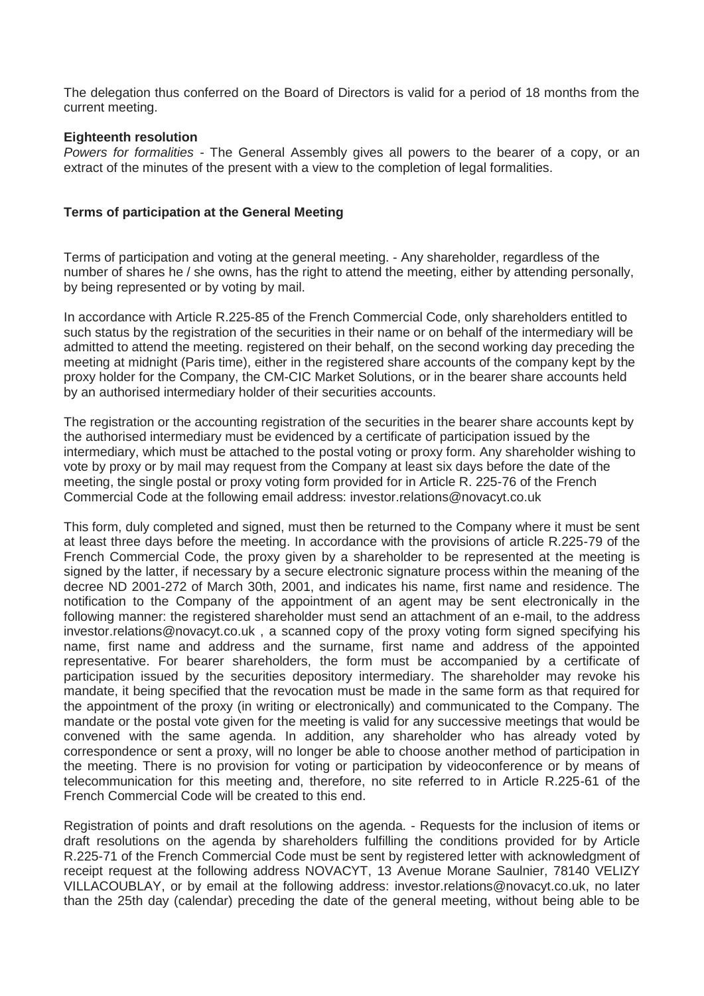The delegation thus conferred on the Board of Directors is valid for a period of 18 months from the current meeting.

## **Eighteenth resolution**

*Powers for formalities -* The General Assembly gives all powers to the bearer of a copy, or an extract of the minutes of the present with a view to the completion of legal formalities.

## **Terms of participation at the General Meeting**

Terms of participation and voting at the general meeting. - Any shareholder, regardless of the number of shares he / she owns, has the right to attend the meeting, either by attending personally, by being represented or by voting by mail.

In accordance with Article R.225-85 of the French Commercial Code, only shareholders entitled to such status by the registration of the securities in their name or on behalf of the intermediary will be admitted to attend the meeting. registered on their behalf, on the second working day preceding the meeting at midnight (Paris time), either in the registered share accounts of the company kept by the proxy holder for the Company, the CM-CIC Market Solutions, or in the bearer share accounts held by an authorised intermediary holder of their securities accounts.

The registration or the accounting registration of the securities in the bearer share accounts kept by the authorised intermediary must be evidenced by a certificate of participation issued by the intermediary, which must be attached to the postal voting or proxy form. Any shareholder wishing to vote by proxy or by mail may request from the Company at least six days before the date of the meeting, the single postal or proxy voting form provided for in Article R. 225-76 of the French Commercial Code at the following email address: investor.relations@novacyt.co.uk

This form, duly completed and signed, must then be returned to the Company where it must be sent at least three days before the meeting. In accordance with the provisions of article R.225-79 of the French Commercial Code, the proxy given by a shareholder to be represented at the meeting is signed by the latter, if necessary by a secure electronic signature process within the meaning of the decree ND 2001-272 of March 30th, 2001, and indicates his name, first name and residence. The notification to the Company of the appointment of an agent may be sent electronically in the following manner: the registered shareholder must send an attachment of an e-mail, to the address investor.relations@novacyt.co.uk , a scanned copy of the proxy voting form signed specifying his name, first name and address and the surname, first name and address of the appointed representative. For bearer shareholders, the form must be accompanied by a certificate of participation issued by the securities depository intermediary. The shareholder may revoke his mandate, it being specified that the revocation must be made in the same form as that required for the appointment of the proxy (in writing or electronically) and communicated to the Company. The mandate or the postal vote given for the meeting is valid for any successive meetings that would be convened with the same agenda. In addition, any shareholder who has already voted by correspondence or sent a proxy, will no longer be able to choose another method of participation in the meeting. There is no provision for voting or participation by videoconference or by means of telecommunication for this meeting and, therefore, no site referred to in Article R.225-61 of the French Commercial Code will be created to this end.

Registration of points and draft resolutions on the agenda. - Requests for the inclusion of items or draft resolutions on the agenda by shareholders fulfilling the conditions provided for by Article R.225-71 of the French Commercial Code must be sent by registered letter with acknowledgment of receipt request at the following address NOVACYT, 13 Avenue Morane Saulnier, 78140 VELIZY VILLACOUBLAY, or by email at the following address: investor.relations@novacyt.co.uk, no later than the 25th day (calendar) preceding the date of the general meeting, without being able to be